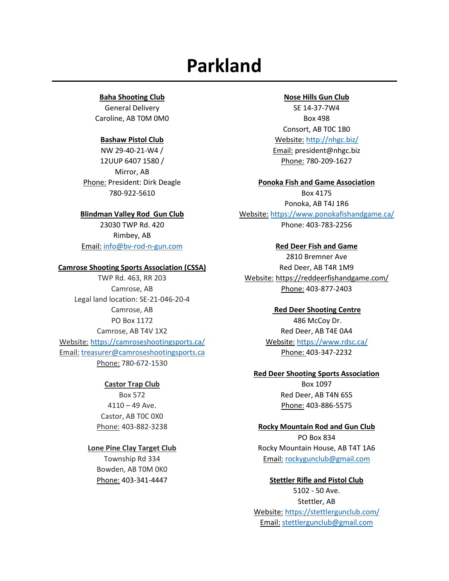# **Parkland**

## **Baha Shooting Club**

General Delivery Caroline, AB T0M 0M0

# **Bashaw Pistol Club**

NW 29-40-21-W4 / 12UUP 6407 1580 / Mirror, AB Phone: President: Dirk Deagle 780-922-5610

# **Blindman Valley Rod Gun Club**

23030 TWP Rd. 420 Rimbey, AB Email: [info@bv-rod-n-gun.com](mailto:info@bv-rod-n-gun.com)

## **Camrose Shooting Sports Association (CSSA)**

TWP Rd. 463, RR 203 Camrose, AB Legal land location: SE-21-046-20-4 Camrose, AB PO Box 1172 Camrose, AB T4V 1X2 Website: <https://camroseshootingsports.ca/> Email: [treasurer@camroseshootingsports.ca](mailto:treasurer@camroseshootingsports.ca) Phone: 780-672-1530

## **Castor Trap Club**

Box 572  $4110 - 49$  Ave. Castor, AB T0C 0X0 Phone: 403-882-3238

# **Lone Pine Clay Target Club**

Township Rd 334 Bowden, AB T0M 0K0 Phone: 403-341-4447

#### **Nose Hills Gun Club**

SE 14-37-7W4 Box 498 Consort, AB T0C 1B0 Website: <http://nhgc.biz/> Email: president@nhgc.biz Phone: 780-209-1627

#### **Ponoka Fish and Game Association**

Box 4175 Ponoka, AB T4J 1R6 Website: <https://www.ponokafishandgame.ca/> Phone: 403-783-2256

#### **Red Deer Fish and Game**

2810 Bremner Ave Red Deer, AB T4R 1M9 Website: <https://reddeerfishandgame.com/> Phone: 403-877-2403

> **Red Deer Shooting Centre** 486 McCoy Dr. Red Deer, AB T4E 0A4 Website: <https://www.rdsc.ca/> Phone: 403-347-2232

#### **Red Deer Shooting Sports Association**

Box 1097 Red Deer, AB T4N 6S5 Phone: 403-886-5575

#### **Rocky Mountain Rod and Gun Club**

PO Box 834 Rocky Mountain House, AB T4T 1A6 Email: [rockygunclub@gmail.com](mailto:rockygunclub@gmail.com)

#### **Stettler Rifle and Pistol Club**

5102 - 50 Ave. Stettler, AB Website: <https://stettlergunclub.com/> Email: [stettlergunclub@gmail.com](mailto:stettlergunclub@gmail.com)